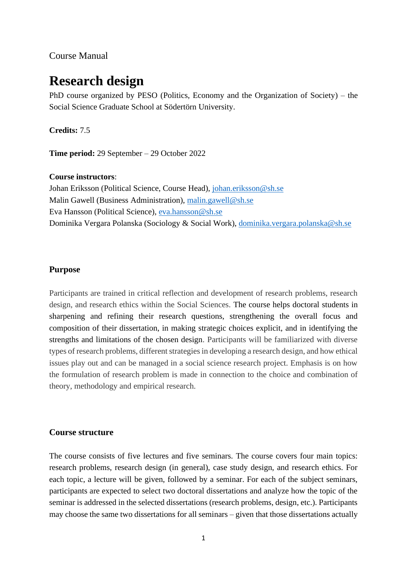### Course Manual

# **Research design**

PhD course organized by PESO (Politics, Economy and the Organization of Society) – the Social Science Graduate School at Södertörn University.

#### **Credits:** 7.5

**Time period:** 29 September – 29 October 2022

#### **Course instructors**:

Johan Eriksson (Political Science, Course Head), [johan.eriksson@sh.se](mailto:johan.eriksson@sh.se) Malin Gawell (Business Administration), [malin.gawell@sh.se](mailto:malin.gawell@sh.se) Eva Hansson (Political Science), [eva.hansson@sh.se](mailto:eva.hansson@sh.se) Dominika Vergara Polanska (Sociology & Social Work), [dominika.vergara.polanska@sh.se](mailto:dominika.vergara.polanska@sh.se)

#### **Purpose**

Participants are trained in critical reflection and development of research problems, research design, and research ethics within the Social Sciences. The course helps doctoral students in sharpening and refining their research questions, strengthening the overall focus and composition of their dissertation, in making strategic choices explicit, and in identifying the strengths and limitations of the chosen design. Participants will be familiarized with diverse types of research problems, different strategies in developing a research design, and how ethical issues play out and can be managed in a social science research project. Emphasis is on how the formulation of research problem is made in connection to the choice and combination of theory, methodology and empirical research.

#### **Course structure**

The course consists of five lectures and five seminars. The course covers four main topics: research problems, research design (in general), case study design, and research ethics. For each topic, a lecture will be given, followed by a seminar. For each of the subject seminars, participants are expected to select two doctoral dissertations and analyze how the topic of the seminar is addressed in the selected dissertations (research problems, design, etc.). Participants may choose the same two dissertations for all seminars – given that those dissertations actually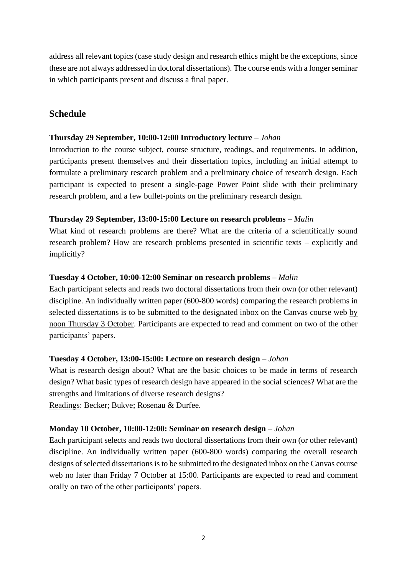address all relevant topics (case study design and research ethics might be the exceptions, since these are not always addressed in doctoral dissertations). The course ends with a longer seminar in which participants present and discuss a final paper.

# **Schedule**

#### **Thursday 29 September, 10:00-12:00 Introductory lecture** – *Johan*

Introduction to the course subject, course structure, readings, and requirements. In addition, participants present themselves and their dissertation topics, including an initial attempt to formulate a preliminary research problem and a preliminary choice of research design. Each participant is expected to present a single-page Power Point slide with their preliminary research problem, and a few bullet-points on the preliminary research design.

#### **Thursday 29 September, 13:00-15:00 Lecture on research problems** – *Malin*

What kind of research problems are there? What are the criteria of a scientifically sound research problem? How are research problems presented in scientific texts – explicitly and implicitly?

#### **Tuesday 4 October, 10:00-12:00 Seminar on research problems** – *Malin*

Each participant selects and reads two doctoral dissertations from their own (or other relevant) discipline. An individually written paper (600-800 words) comparing the research problems in selected dissertations is to be submitted to the designated inbox on the Canvas course web by noon Thursday 3 October. Participants are expected to read and comment on two of the other participants' papers.

# **Tuesday 4 October, 13:00-15:00: Lecture on research design** – *Johan*

What is research design about? What are the basic choices to be made in terms of research design? What basic types of research design have appeared in the social sciences? What are the strengths and limitations of diverse research designs?

Readings: Becker; Bukve; Rosenau & Durfee.

#### **Monday 10 October, 10:00-12:00: Seminar on research design** – *Johan*

Each participant selects and reads two doctoral dissertations from their own (or other relevant) discipline. An individually written paper (600-800 words) comparing the overall research designs of selected dissertations is to be submitted to the designated inbox on the Canvas course web no later than Friday 7 October at 15:00. Participants are expected to read and comment orally on two of the other participants' papers.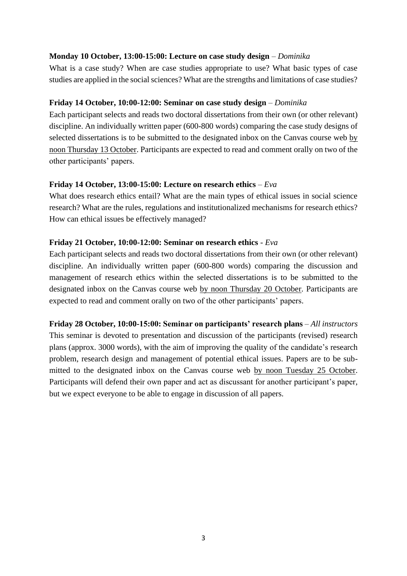#### **Monday 10 October, 13:00-15:00: Lecture on case study design** – *Dominika*

What is a case study? When are case studies appropriate to use? What basic types of case studies are applied in the social sciences? What are the strengths and limitations of case studies?

#### **Friday 14 October, 10:00-12:00: Seminar on case study design** – *Dominika*

Each participant selects and reads two doctoral dissertations from their own (or other relevant) discipline. An individually written paper (600-800 words) comparing the case study designs of selected dissertations is to be submitted to the designated inbox on the Canvas course web by noon Thursday 13 October. Participants are expected to read and comment orally on two of the other participants' papers.

#### **Friday 14 October, 13:00-15:00: Lecture on research ethics** – *Eva*

What does research ethics entail? What are the main types of ethical issues in social science research? What are the rules, regulations and institutionalized mechanisms for research ethics? How can ethical issues be effectively managed?

#### **Friday 21 October, 10:00-12:00: Seminar on research ethics** - *Eva*

Each participant selects and reads two doctoral dissertations from their own (or other relevant) discipline. An individually written paper (600-800 words) comparing the discussion and management of research ethics within the selected dissertations is to be submitted to the designated inbox on the Canvas course web by noon Thursday 20 October. Participants are expected to read and comment orally on two of the other participants' papers.

**Friday 28 October, 10:00-15:00: Seminar on participants' research plans** – *All instructors* This seminar is devoted to presentation and discussion of the participants (revised) research plans (approx. 3000 words), with the aim of improving the quality of the candidate's research problem, research design and management of potential ethical issues. Papers are to be submitted to the designated inbox on the Canvas course web by noon Tuesday 25 October. Participants will defend their own paper and act as discussant for another participant's paper, but we expect everyone to be able to engage in discussion of all papers.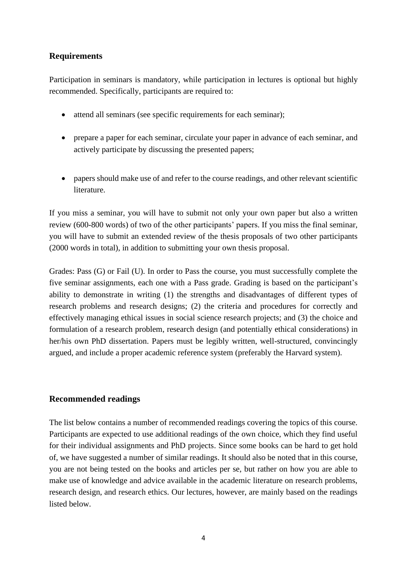# **Requirements**

Participation in seminars is mandatory, while participation in lectures is optional but highly recommended. Specifically, participants are required to:

- attend all seminars (see specific requirements for each seminar);
- prepare a paper for each seminar, circulate your paper in advance of each seminar, and actively participate by discussing the presented papers;
- papers should make use of and refer to the course readings, and other relevant scientific literature.

If you miss a seminar, you will have to submit not only your own paper but also a written review (600-800 words) of two of the other participants' papers. If you miss the final seminar, you will have to submit an extended review of the thesis proposals of two other participants (2000 words in total), in addition to submitting your own thesis proposal.

Grades: Pass (G) or Fail (U). In order to Pass the course, you must successfully complete the five seminar assignments, each one with a Pass grade. Grading is based on the participant's ability to demonstrate in writing (1) the strengths and disadvantages of different types of research problems and research designs; (2) the criteria and procedures for correctly and effectively managing ethical issues in social science research projects; and (3) the choice and formulation of a research problem, research design (and potentially ethical considerations) in her/his own PhD dissertation. Papers must be legibly written, well-structured, convincingly argued, and include a proper academic reference system (preferably the Harvard system).

# **Recommended readings**

The list below contains a number of recommended readings covering the topics of this course. Participants are expected to use additional readings of the own choice, which they find useful for their individual assignments and PhD projects. Since some books can be hard to get hold of, we have suggested a number of similar readings. It should also be noted that in this course, you are not being tested on the books and articles per se, but rather on how you are able to make use of knowledge and advice available in the academic literature on research problems, research design, and research ethics. Our lectures, however, are mainly based on the readings listed below.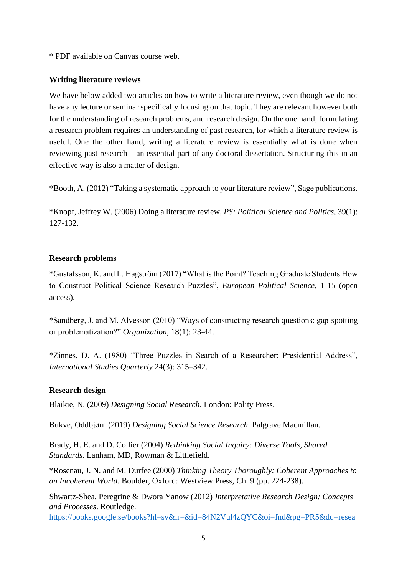\* PDF available on Canvas course web.

#### **Writing literature reviews**

We have below added two articles on how to write a literature review, even though we do not have any lecture or seminar specifically focusing on that topic. They are relevant however both for the understanding of research problems, and research design. On the one hand, formulating a research problem requires an understanding of past research, for which a literature review is useful. One the other hand, writing a literature review is essentially what is done when reviewing past research – an essential part of any doctoral dissertation. Structuring this in an effective way is also a matter of design.

\*Booth, A. (2012) "Taking a systematic approach to your literature review", Sage publications.

\*Knopf, Jeffrey W. (2006) Doing a literature review, *PS: Political Science and Politics*, 39(1): 127-132.

# **Research problems**

\*Gustafsson, K. and L. Hagström (2017) "What is the Point? Teaching Graduate Students How to Construct Political Science Research Puzzles", *European Political Science*, 1-15 (open access).

\*Sandberg, J. and M. Alvesson (2010) "Ways of constructing research questions: gap-spotting or problematization?" *Organization*, 18(1): 23-44.

\*Zinnes, D. A. (1980) "Three Puzzles in Search of a Researcher: Presidential Address", *International Studies Quarterly* 24(3): 315–342.

# **Research design**

Blaikie, N. (2009) *Designing Social Research*. London: Polity Press.

Bukve, Oddbjørn (2019) *Designing Social Science Research*. Palgrave Macmillan.

Brady, H. E. and D. Collier (2004) *Rethinking Social Inquiry: Diverse Tools, Shared Standards*. Lanham, MD, Rowman & Littlefield.

\*Rosenau, J. N. and M. Durfee (2000) *Thinking Theory Thoroughly: Coherent Approaches to an Incoherent World*. Boulder, Oxford: Westview Press, Ch. 9 (pp. 224-238).

Shwartz-Shea, Peregrine & Dwora Yanow (2012) *Interpretative Research Design: Concepts and Processes*. Routledge.

[https://books.google.se/books?hl=sv&lr=&id=84N2Vul4zQYC&oi=fnd&pg=PR5&dq=resea](https://books.google.se/books?hl=sv&lr=&id=84N2Vul4zQYC&oi=fnd&pg=PR5&dq=research+design+social+sciences&ots=85CJslW3ZB&sig=hLLyFo8U9v1AB7a20rlPDHzodIg&redir_esc=y#v=onepage&q=research%20design%20social%20sciences&f=false)